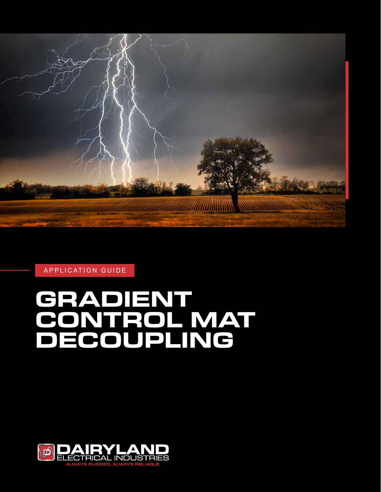

APPLICATION GUIDE

# **GRADIENT CONTROL MAT DECOUPLING**

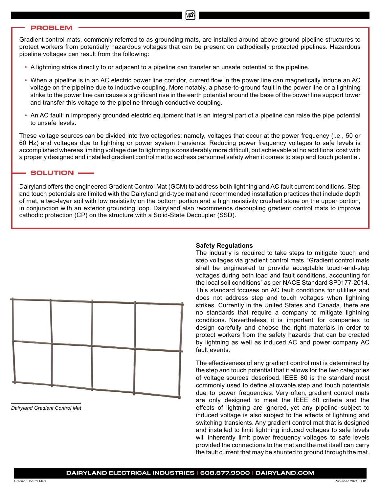#### **PROBLEM**

Gradient control mats, commonly referred to as grounding mats, are installed around above ground pipeline structures to protect workers from potentially hazardous voltages that can be present on cathodically protected pipelines. Hazardous pipeline voltages can result from the following:

- A lightning strike directly to or adjacent to a pipeline can transfer an unsafe potential to the pipeline.
- When a pipeline is in an AC electric power line corridor, current flow in the power line can magnetically induce an AC voltage on the pipeline due to inductive coupling. More notably, a phase-to-ground fault in the power line or a lightning strike to the power line can cause a significant rise in the earth potential around the base of the power line support tower and transfer this voltage to the pipeline through conductive coupling.
- An AC fault in improperly grounded electric equipment that is an integral part of a pipeline can raise the pipe potential to unsafe levels.

These voltage sources can be divided into two categories; namely, voltages that occur at the power frequency (i.e., 50 or 60 Hz) and voltages due to lightning or power system transients. Reducing power frequency voltages to safe levels is accomplished whereas limiting voltage due to lightning is considerably more difficult, but achievable at no additional cost with a properly designed and installed gradient control mat to address personnel safety when it comes to step and touch potential.

#### **SOLUTION**

Dairyland offers the engineered Gradient Control Mat (GCM) to address both lightning and AC fault current conditions. Step and touch potentials are limited with the Dairyland grid-type mat and recommended installation practices that include depth of mat, a two-layer soil with low resistivity on the bottom portion and a high resistivity crushed stone on the upper portion, in conjunction with an exterior grounding loop. Dairyland also recommends decoupling gradient control mats to improve cathodic protection (CP) on the structure with a Solid-State Decoupler (SSD).



*Dairyland Gradient Control Mat*

#### **Safety Regulations**

The industry is required to take steps to mitigate touch and step voltages via gradient control mats. "Gradient control mats shall be engineered to provide acceptable touch-and-step voltages during both load and fault conditions, accounting for the local soil conditions" as per NACE Standard SP0177-2014. This standard focuses on AC fault conditions for utilities and does not address step and touch voltages when lightning strikes. Currently in the United States and Canada, there are no standards that require a company to mitigate lightning conditions. Nevertheless, it is important for companies to design carefully and choose the right materials in order to protect workers from the safety hazards that can be created by lightning as well as induced AC and power company AC fault events.

The effectiveness of any gradient control mat is determined by the step and touch potential that it allows for the two categories of voltage sources described. IEEE 80 is the standard most commonly used to define allowable step and touch potentials due to power frequencies. Very often, gradient control mats are only designed to meet the IEEE 80 criteria and the effects of lightning are ignored, yet any pipeline subject to induced voltage is also subject to the effects of lightning and switching transients. Any gradient control mat that is designed and installed to limit lightning induced voltages to safe levels will inherently limit power frequency voltages to safe levels provided the connections to the mat and the mat itself can carry the fault current that may be shunted to ground through the mat.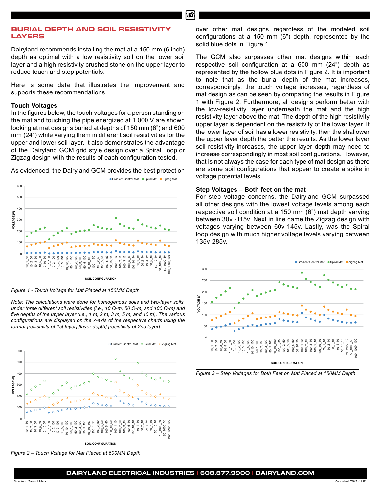# **BURIAL DEPTH AND SOIL RESISTIVITY LAYERS**

Dairyland recommends installing the mat at a 150 mm (6 inch) depth as optimal with a low resistivity soil on the lower soil layer and a high resistivity crushed stone on the upper layer to reduce touch and step potentials.

Here is some data that illustrates the improvement and supports these recommendations.

# **Touch Voltages**

In the figures below, the touch voltages for a person standing on the mat and touching the pipe energized at 1,000 V are shown looking at mat designs buried at depths of 150 mm (6") and 600 mm (24") while varying them in different soil resistivities for the upper and lower soil layer. It also demonstrates the advantage of the Dairyland GCM grid style design over a Spiral Loop or Zigzag design with the results of each configuration tested.

As evidenced, the Dairyland GCM provides the best protection



*Figure 1 - Touch Voltage for Mat Placed at 150MM Depth*

**TOUCH VOLTAGE** *format [resistivity of 1st layer] [layer depth] [resistivity of 2nd layer]. Note: The calculations were done for homogenous soils and two-layer soils, under three different soil resistivities (i.e., 10 Ω-m, 50 Ω-m, and 100 Ω-m) and five depths of the upper layer (i.e., 1 m, 2 m, 3 m, 5 m, and 10 m). The various configurations are displayed on the x-axis of the respective charts using the* 



*Figure 2 – Touch Voltage for Mat Placed at 600MM Depth*

over other mat designs regardless of the modeled soil configurations at a 150 mm (6") depth, represented by the solid blue dots in Figure 1.

The GCM also surpasses other mat designs within each respective soil configuration at a 600 mm (24") depth as represented by the hollow blue dots in Figure 2. It is important to note that as the burial depth of the mat increases, correspondingly, the touch voltage increases, regardless of mat design as can be seen by comparing the results in Figure 1 with Figure 2. Furthermore, all designs perform better with the low-resistivity layer underneath the mat and the high resistivity layer above the mat. The depth of the high resistivity upper layer is dependent on the resistivity of the lower layer. If the lower layer of soil has a lower resistivity, then the shallower the upper layer depth the better the results. As the lower layer soil resistivity increases, the upper layer depth may need to increase correspondingly in most soil configurations. However, that is not always the case for each type of mat design as there are some soil configurations that appear to create a spike in voltage potential levels.

# **Step Voltages – Both feet on the mat**

For step voltage concerns, the Dairyland GCM surpassed all other designs with the lowest voltage levels among each respective soil condition at a 150 mm (6") mat depth varying between 30v -115v. Next in line came the Zigzag design with voltages varying between 60v-145v. Lastly, was the Spiral loop design with much higher voltage levels varying between 135v-285v.



*Figure 3 – Step Voltages for Both Feet on Mat Placed at 150MM Depth*

Ø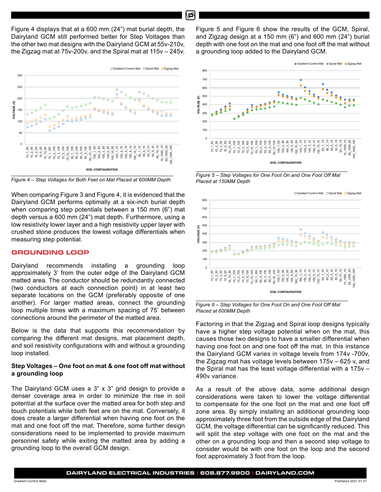Figure 4 displays that at a 600 mm (24") mat burial depth, the Dairyland GCM still performed better for Step Voltages than the other two mat designs with the Dairyland GCM at 55v-210v, the Zigzag mat at 75v-200v, and the Spiral mat at 115v – 245v.



*Figure 4 – Step Voltages for Both Feet on Mat Placed at 600MM Depth*

When comparing Figure 3 and Figure 4, it is evidenced that the Dairyland GCM performs optimally at a six-inch burial depth when comparing step potentials between a 150 mm (6") mat depth versus a 600 mm (24") mat depth. Furthermore, using a low resistivity lower layer and a high resistivity upper layer with crushed stone produces the lowest voltage differentials when measuring step potential.

## **GROUNDING LOOP**

Dairyland recommends installing a grounding loop approximately 3' from the outer edge of the Dairyland GCM matted area. The conductor should be redundantly connected (two conductors at each connection point) in at least two separate locations on the GCM (preferably opposite of one another). For larger matted areas, connect the grounding loop multiple times with a maximum spacing of 75' between connections around the perimeter of the matted area.

Below is the data that supports this recommendation by comparing the different mat designs, mat placement depth, and soil resistivity configurations with and without a grounding loop installed.

# **Step Voltages – One foot on mat & one foot off mat without a grounding loop**

The Dairyland GCM uses a 3" x 3" grid design to provide a denser coverage area in order to minimize the rise in soil potential at the surface over the matted area for both step and touch potentials while both feet are on the mat. Conversely, it does create a larger differential when having one foot on the mat and one foot off the mat. Therefore, some further design considerations need to be implemented to provide maximum personnel safety while exiting the matted area by adding a grounding loop to the overall GCM design.

Figure 5 and Figure 6 show the results of the GCM, Spiral, and Zigzag design at a 150 mm (6") and 600 mm (24") burial depth with one foot on the mat and one foot off the mat without a grounding loop added to the Dairyland GCM. saling **Loop online the Dois lond COM** 



*Figure 5 – Step Voltages for One Foot On and One Foot Off Mat*<br>Pulled that the contract with the contract of the contract of the contract of the contract of the contract of t *Placed at 150MM Depth*





Factoring in that the Zigzag and Spiral loop designs typically have a higher step voltage potential when on the mat, this causes those two designs to have a smaller differential when having one foot on and one foot off the mat. In this instance the Dairyland GCM varies in voltage levels from 174v -700v, the Zigzag mat has voltage levels between 175v – 625 v, and the Spiral mat has the least voltage differential with a 175v – 490v variance.

As a result of the above data, some additional design considerations were taken to lower the voltage differential to compensate for the one foot on the mat and one foot off zone area. By simply installing an additional grounding loop approximately three foot from the outside edge of the Dairyland GCM, the voltage differential can be significantly reduced. This will split the step voltage with one foot on the mat and the other on a grounding loop and then a second step voltage to consider would be with one foot on the loop and the second foot approximately 3 foot from the loop.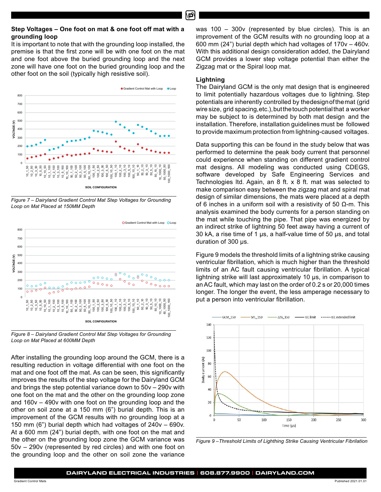#### **Step Voltages – One foot on mat & one foot off mat with a grounding loop**

It is important to note that with the grounding loop installed, the premise is that the first zone will be with one foot on the mat and one foot above the buried grounding loop and the next zone will have one foot on the buried grounding loop and the other foot on the soil (typically high resistive soil).



Loop on Mat Placed at 150MM Depth *Figure 7 – Dairyland Gradient Control Mat Step Voltages for Grounding*



*Figure 8 – Dairyland Gradient Control Mat Step Voltages for Grounding Loop on Mat Placed at 600MM Depth*

After installing the grounding loop around the GCM, there is a resulting reduction in voltage differential with one foot on the mat and one foot off the mat. As can be seen, this significantly improves the results of the step voltage for the Dairyland GCM and brings the step potential variance down to 50v – 290v with one foot on the mat and the other on the grounding loop zone and 160v – 490v with one foot on the grounding loop and the other on soil zone at a 150 mm (6") burial depth. This is an improvement of the GCM results with no grounding loop at a 150 mm (6") burial depth which had voltages of 240v – 690v. At a 600 mm (24") burial depth, with one foot on the mat and the other on the grounding loop zone the GCM variance was 50v – 290v (represented by red circles) and with one foot on the grounding loop and the other on soil zone the variance was 100 – 300v (represented by blue circles). This is an improvement of the GCM results with no grounding loop at a 600 mm (24") burial depth which had voltages of 170v – 460v. With this additional design consideration added, the Dairyland GCM provides a lower step voltage potential than either the Zigzag mat or the Spiral loop mat.

#### **Lightning**

The Dairyland GCM is the only mat design that is engineered to limit potentially hazardous voltages due to lightning. Step potentials are inherently controlled by the design of the mat (grid wire size, grid spacing, etc.), but the touch potential that a worker may be subject to is determined by both mat design and the installation. Therefore, installation guidelines must be followed to provide maximum protection from lightning-caused voltages.

Data supporting this can be found in the study below that was performed to determine the peak body current that personnel could experience when standing on different gradient control mat designs. All modeling was conducted using CDEGS, software developed by Safe Engineering Services and Technologies ltd. Again, an 8 ft. x 8 ft. mat was selected to make comparison easy between the zigzag mat and spiral mat design of similar dimensions, the mats were placed at a depth of 6 inches in a uniform soil with a resistivity of 50  $Ω$ -m. This analysis examined the body currents for a person standing on the mat while touching the pipe. That pipe was energized by an indirect strike of lightning 50 feet away having a current of 30 kA, a rise time of 1 μs, a half-value time of 50 μs, and total duration of 300 μs.

Figure 9 models the threshold limits of a lightning strike causing ventricular fibrillation, which is much higher than the threshold limits of an AC fault causing ventricular fibrillation. A typical lightning strike will last approximately 10 μs, in comparison to an AC fault, which may last on the order of 0.2 s or 20,000 times longer. The longer the event, the less amperage necessary to put a person into ventricular fibrillation.



*Figure 9 –Threshold Limits of Lighthing Strike Causing Ventricular Fibrilation*